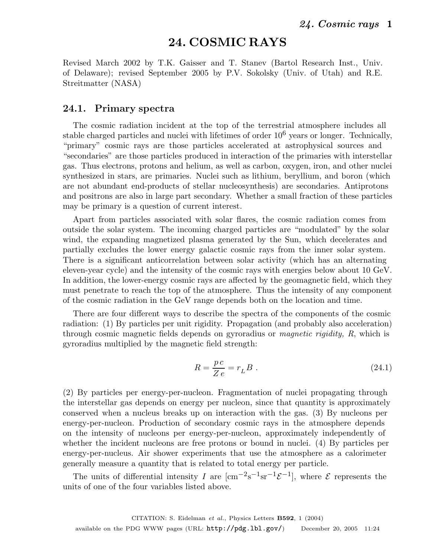# **24. COSMIC RAYS**

Revised March 2002 by T.K. Gaisser and T. Stanev (Bartol Research Inst., Univ. of Delaware); revised September 2005 by P.V. Sokolsky (Univ. of Utah) and R.E. Streitmatter (NASA)

#### **24.1. Primary spectra**

The cosmic radiation incident at the top of the terrestrial atmosphere includes all stable charged particles and nuclei with lifetimes of order  $10<sup>6</sup>$  years or longer. Technically, "primary" cosmic rays are those particles accelerated at astrophysical sources and "secondaries" are those particles produced in interaction of the primaries with interstellar gas. Thus electrons, protons and helium, as well as carbon, oxygen, iron, and other nuclei synthesized in stars, are primaries. Nuclei such as lithium, beryllium, and boron (which are not abundant end-products of stellar nucleosynthesis) are secondaries. Antiprotons and positrons are also in large part secondary. Whether a small fraction of these particles may be primary is a question of current interest.

Apart from particles associated with solar flares, the cosmic radiation comes from outside the solar system. The incoming charged particles are "modulated" by the solar wind, the expanding magnetized plasma generated by the Sun, which decelerates and partially excludes the lower energy galactic cosmic rays from the inner solar system. There is a significant anticorrelation between solar activity (which has an alternating eleven-year cycle) and the intensity of the cosmic rays with energies below about 10 GeV. In addition, the lower-energy cosmic rays are affected by the geomagnetic field, which they must penetrate to reach the top of the atmosphere. Thus the intensity of any component of the cosmic radiation in the GeV range depends both on the location and time.

There are four different ways to describe the spectra of the components of the cosmic radiation: (1) By particles per unit rigidity. Propagation (and probably also acceleration) through cosmic magnetic fields depends on gyroradius or *magnetic rigidity, R*, which is gyroradius multiplied by the magnetic field strength:

$$
R = \frac{pc}{Z e} = r_L B \tag{24.1}
$$

(2) By particles per energy-per-nucleon. Fragmentation of nuclei propagating through the interstellar gas depends on energy per nucleon, since that quantity is approximately conserved when a nucleus breaks up on interaction with the gas. (3) By nucleons per energy-per-nucleon. Production of secondary cosmic rays in the atmosphere depends on the intensity of nucleons per energy-per-nucleon, approximately independently of whether the incident nucleons are free protons or bound in nuclei. (4) By particles per energy-per-nucleus. Air shower experiments that use the atmosphere as a calorimeter generally measure a quantity that is related to total energy per particle.

The units of differential intensity I are  $[\text{cm}^{-2}\text{s}^{-1}\text{sr}^{-1}\mathcal{E}^{-1}]$ , where  $\mathcal E$  represents the units of one of the four variables listed above.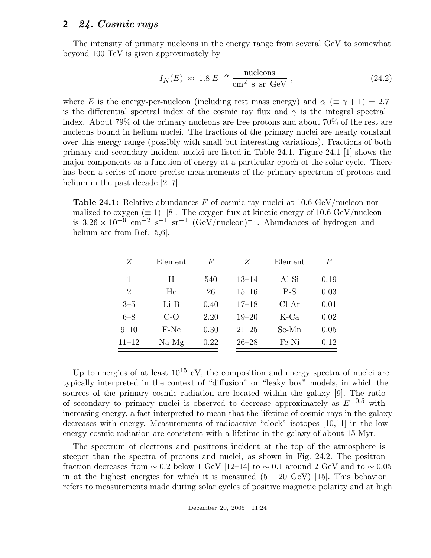The intensity of primary nucleons in the energy range from several GeV to somewhat beyond 100 TeV is given approximately by

$$
I_N(E) \approx 1.8 E^{-\alpha} \frac{\text{nucleons}}{\text{cm}^2 \text{ s sr GeV}} , \qquad (24.2)
$$

where E is the energy-per-nucleon (including rest mass energy) and  $\alpha$  ( $\equiv \gamma + 1$ ) = 2.7 is the differential spectral index of the cosmic ray flux and  $\gamma$  is the integral spectral index. About 79% of the primary nucleons are free protons and about 70% of the rest are nucleons bound in helium nuclei. The fractions of the primary nuclei are nearly constant over this energy range (possibly with small but interesting variations). Fractions of both primary and secondary incident nuclei are listed in Table 24.1. Figure 24.1 [1] shows the major components as a function of energy at a particular epoch of the solar cycle. There has been a series of more precise measurements of the primary spectrum of protons and helium in the past decade  $[2-7]$ .

**Table 24.1:** Relative abundances F of cosmic-ray nuclei at 10.6 GeV/nucleon normalized to oxygen ( $\equiv$  1) [8]. The oxygen flux at kinetic energy of 10.6 GeV/nucleon is  $3.26 \times 10^{-6}$  cm<sup>-2</sup> s<sup>-1</sup> sr<sup>-1</sup> (GeV/nucleon)<sup>-1</sup>. Abundances of hydrogen and helium are from Ref. [5,6].

| F    |
|------|
| 0.19 |
| 0.03 |
| 0.01 |
| 0.02 |
| 0.05 |
| 0.12 |
|      |

Up to energies of at least  $10^{15}$  eV, the composition and energy spectra of nuclei are typically interpreted in the context of "diffusion" or "leaky box" models, in which the sources of the primary cosmic radiation are located within the galaxy [9]. The ratio of secondary to primary nuclei is observed to decrease approximately as  $E^{-0.5}$  with increasing energy, a fact interpreted to mean that the lifetime of cosmic rays in the galaxy decreases with energy. Measurements of radioactive "clock" isotopes [10,11] in the low energy cosmic radiation are consistent with a lifetime in the galaxy of about 15 Myr.

The spectrum of electrons and positrons incident at the top of the atmosphere is steeper than the spectra of protons and nuclei, as shown in Fig. 24.2. The positron fraction decreases from  $\sim 0.2$  below 1 GeV [12–14] to  $\sim 0.1$  around 2 GeV and to  $\sim 0.05$ in at the highest energies for which it is measured  $(5 - 20 \text{ GeV})$  [15]. This behavior refers to measurements made during solar cycles of positive magnetic polarity and at high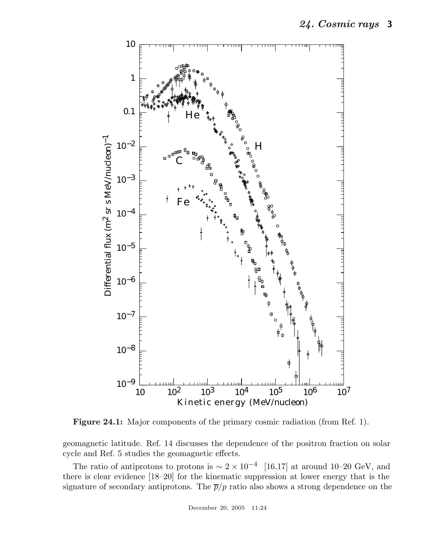

**Figure 24.1:** Major components of the primary cosmic radiation (from Ref. 1).

geomagnetic latitude. Ref. 14 discusses the dependence of the positron fraction on solar cycle and Ref. 5 studies the geomagnetic effects.

The ratio of antiprotons to protons is  $\sim 2 \times 10^{-4}$  [16,17] at around 10–20 GeV, and there is clear evidence [18–20] for the kinematic suppression at lower energy that is the signature of secondary antiprotons. The  $\bar{p}/p$  ratio also shows a strong dependence on the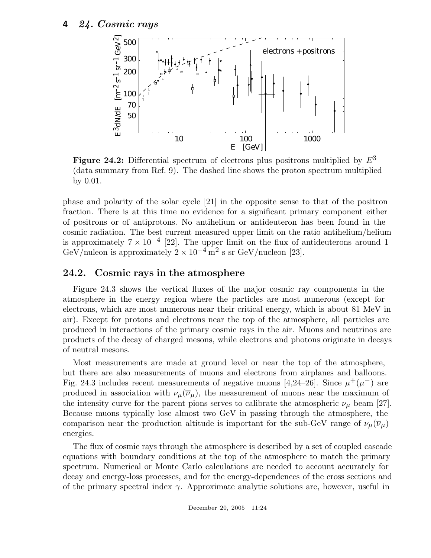

**Figure 24.2:** Differential spectrum of electrons plus positrons multiplied by  $E^3$ (data summary from Ref. 9). The dashed line shows the proton spectrum multiplied by 0.01.

phase and polarity of the solar cycle [21] in the opposite sense to that of the positron fraction. There is at this time no evidence for a significant primary component either of positrons or of antiprotons. No antihelium or antideuteron has been found in the cosmic radiation. The best current measured upper limit on the ratio antihelium/helium is approximately  $7 \times 10^{-4}$  [22]. The upper limit on the flux of antideuterons around 1 GeV/nuleon is approximately  $2 \times 10^{-4}$  m<sup>2</sup> s sr GeV/nucleon [23].

## **24.2. Cosmic rays in the atmosphere**

Figure 24.3 shows the vertical fluxes of the major cosmic ray components in the atmosphere in the energy region where the particles are most numerous (except for electrons, which are most numerous near their critical energy, which is about 81 MeV in air). Except for protons and electrons near the top of the atmosphere, all particles are produced in interactions of the primary cosmic rays in the air. Muons and neutrinos are products of the decay of charged mesons, while electrons and photons originate in decays of neutral mesons.

Most measurements are made at ground level or near the top of the atmosphere, but there are also measurements of muons and electrons from airplanes and balloons. Fig. 24.3 includes recent measurements of negative muons [4,24–26]. Since  $\mu^+(\mu^-)$  are produced in association with  $\nu_{\mu}(\overline{\nu}_{\mu})$ , the measurement of muons near the maximum of the intensity curve for the parent pions serves to calibrate the atmospheric  $\nu_{\mu}$  beam [27]. Because muons typically lose almost two GeV in passing through the atmosphere, the comparison near the production altitude is important for the sub-GeV range of  $\nu_\mu(\overline{\nu}_\mu)$ energies.

The flux of cosmic rays through the atmosphere is described by a set of coupled cascade equations with boundary conditions at the top of the atmosphere to match the primary spectrum. Numerical or Monte Carlo calculations are needed to account accurately for decay and energy-loss processes, and for the energy-dependences of the cross sections and of the primary spectral index  $\gamma$ . Approximate analytic solutions are, however, useful in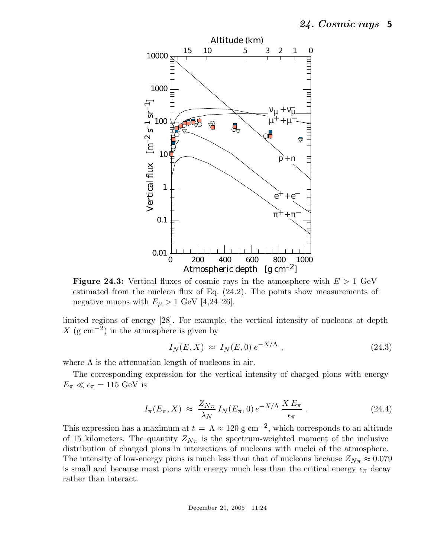

**Figure 24.3:** Vertical fluxes of cosmic rays in the atmosphere with  $E > 1$  GeV estimated from the nucleon flux of Eq. (24.2). The points show measurements of negative muons with  $E_{\mu} > 1$  GeV [4,24–26].

limited regions of energy [28]. For example, the vertical intensity of nucleons at depth X (g cm<sup>-2</sup>) in the atmosphere is given by

$$
I_N(E, X) \approx I_N(E, 0) e^{-X/\Lambda}, \qquad (24.3)
$$

where  $\Lambda$  is the attenuation length of nucleons in air.

The corresponding expression for the vertical intensity of charged pions with energy  $E_{\pi} \ll \epsilon_{\pi} = 115 \text{ GeV}$  is

$$
I_{\pi}(E_{\pi}, X) \approx \frac{Z_{N\pi}}{\lambda_N} I_N(E_{\pi}, 0) e^{-X/\Lambda} \frac{X E_{\pi}}{\epsilon_{\pi}}.
$$
 (24.4)

This expression has a maximum at  $t = \Lambda \approx 120$  g cm<sup>-2</sup>, which corresponds to an altitude of 15 kilometers. The quantity  $Z_{N\pi}$  is the spectrum-weighted moment of the inclusive distribution of charged pions in interactions of nucleons with nuclei of the atmosphere. The intensity of low-energy pions is much less than that of nucleons because  $Z_{N_{\pi}} \approx 0.079$ is small and because most pions with energy much less than the critical energy  $\epsilon_{\pi}$  decay rather than interact.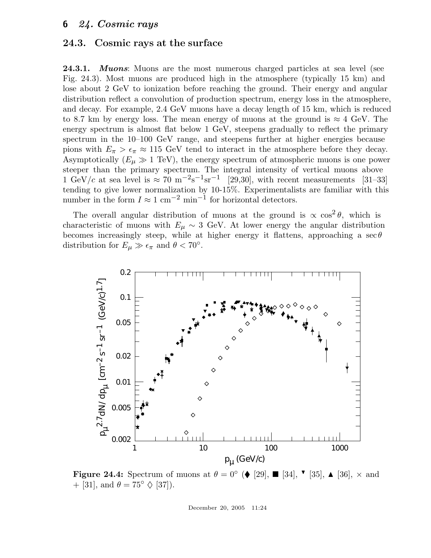#### **24.3. Cosmic rays at the surface**

**24.3.1.** *Muons*: Muons are the most numerous charged particles at sea level (see Fig. 24.3). Most muons are produced high in the atmosphere (typically 15 km) and lose about 2 GeV to ionization before reaching the ground. Their energy and angular distribution reflect a convolution of production spectrum, energy loss in the atmosphere, and decay. For example, 2.4 GeV muons have a decay length of 15 km, which is reduced to 8.7 km by energy loss. The mean energy of muons at the ground is  $\approx 4$  GeV. The energy spectrum is almost flat below 1 GeV, steepens gradually to reflect the primary spectrum in the  $10-100$  GeV range, and steepens further at higher energies because pions with  $E_{\pi} > \epsilon_{\pi} \approx 115$  GeV tend to interact in the atmosphere before they decay. Asymptotically  $(E_{\mu} \gg 1 \text{ TeV})$ , the energy spectrum of atmospheric muons is one power steeper than the primary spectrum. The integral intensity of vertical muons above 1 GeV/c at sea level is  $\approx 70 \text{ m}^{-2}\text{s}^{-1}\text{sr}^{-1}$  [29,30], with recent measurements [31–33] tending to give lower normalization by 10-15%. Experimentalists are familiar with this number in the form  $I \approx 1$  cm<sup>-2</sup> min<sup>-1</sup> for horizontal detectors.

The overall angular distribution of muons at the ground is  $\propto \cos^2 \theta$ , which is characteristic of muons with  $E_{\mu} \sim 3$  GeV. At lower energy the angular distribution becomes increasingly steep, while at higher energy it flattens, approaching a  $\sec\theta$ distribution for  $E_{\mu} \gg \epsilon_{\pi}$  and  $\theta < 70^{\circ}$ .



**Figure 24.4:** Spectrum of muons at  $\theta = 0^{\circ}$  (♦ [29], ■ [34], ▼ [35], ▲ [36], × and  $\pm$  [31] and  $\theta = 75^{\circ}$  △ [37]) + [31], and  $\theta = 75^{\circ} \Diamond$  [37]).

December 20, 2005 11:24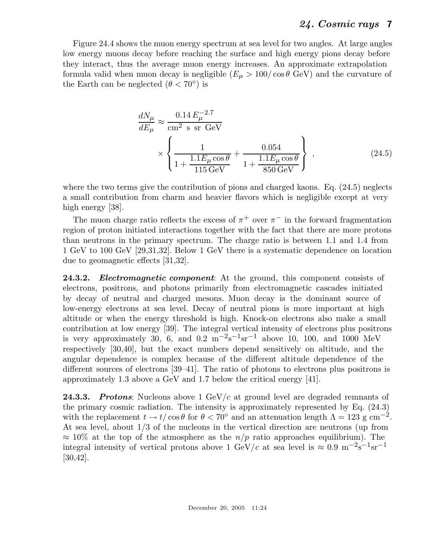Figure 24.4 shows the muon energy spectrum at sea level for two angles. At large angles low energy muons decay before reaching the surface and high energy pions decay before they interact, thus the average muon energy increases. An approximate extrapolation formula valid when muon decay is negligible  $(E_{\mu} > 100/\cos\theta \text{ GeV})$  and the curvature of the Earth can be neglected  $(\theta < 70^{\circ})$  is

$$
\frac{dN_{\mu}}{dE_{\mu}} \approx \frac{0.14 E_{\mu}^{-2.7}}{\text{cm}^2 \text{ s sr GeV}} \times \left\{ \frac{1}{1 + \frac{1.1 E_{\mu} \cos \theta}{115 \text{ GeV}}} + \frac{0.054}{1 + \frac{1.1 E_{\mu} \cos \theta}{850 \text{ GeV}}} \right\},
$$
\n(24.5)

where the two terms give the contribution of pions and charged kaons. Eq.  $(24.5)$  neglects a small contribution from charm and heavier flavors which is negligible except at very high energy [38].

The muon charge ratio reflects the excess of  $\pi^+$  over  $\pi^-$  in the forward fragmentation region of proton initiated interactions together with the fact that there are more protons than neutrons in the primary spectrum. The charge ratio is between 1.1 and 1.4 from 1 GeV to 100 GeV [29,31,32]. Below 1 GeV there is a systematic dependence on location due to geomagnetic effects [31,32].

**24.3.2.** *Electromagnetic component*: At the ground, this component consists of electrons, positrons, and photons primarily from electromagnetic cascades initiated by decay of neutral and charged mesons. Muon decay is the dominant source of low-energy electrons at sea level. Decay of neutral pions is more important at high altitude or when the energy threshold is high. Knock-on electrons also make a small contribution at low energy [39]. The integral vertical intensity of electrons plus positrons is very approximately  $30, 6,$  and  $0.2 \text{ m}^{-2}\text{s}^{-1}\text{sr}^{-1}$  above 10, 100, and 1000 MeV respectively [30,40], but the exact numbers depend sensitively on altitude, and the angular dependence is complex because of the different altitude dependence of the different sources of electrons [39–41]. The ratio of photons to electrons plus positrons is approximately 1.3 above a GeV and 1.7 below the critical energy [41].

24.3.3. *Protons*: Nucleons above 1 GeV/c at ground level are degraded remnants of the primary cosmic radiation. The intensity is approximately represented by Eq. (24.3) with the replacement  $t \to t/\cos\theta$  for  $\theta < 70^{\circ}$  and an attenuation length  $\Lambda = 123$  g cm<sup>-2</sup>. At sea level, about 1/3 of the nucleons in the vertical direction are neutrons (up from  $\approx 10\%$  at the top of the atmosphere as the  $n/p$  ratio approaches equilibrium). The integral intensity of vertical protons above 1 GeV/c at sea level is  $\approx 0.9 \text{ m}^{-2}\text{s}^{-1}\text{sr}^{-1}$ [30,42].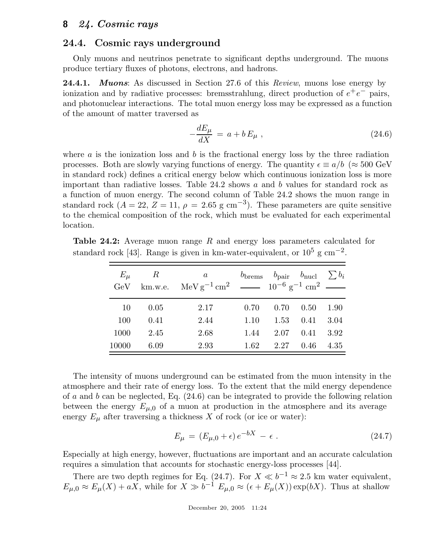#### **24.4. Cosmic rays underground**

Only muons and neutrinos penetrate to significant depths underground. The muons produce tertiary fluxes of photons, electrons, and hadrons.

**24.4.1.** *Muons*: As discussed in Section 27.6 of this *Review*, muons lose energy by ionization and by radiative processes: bremsstrahlung, direct production of  $e^+e^-$  pairs, and photonuclear interactions. The total muon energy loss may be expressed as a function of the amount of matter traversed as

$$
-\frac{dE_{\mu}}{dX} = a + bE_{\mu} , \qquad (24.6)
$$

where  $a$  is the ionization loss and  $b$  is the fractional energy loss by the three radiation processes. Both are slowly varying functions of energy. The quantity  $\epsilon \equiv a/b$  ( $\approx 500 \text{ GeV}$ ) in standard rock) defines a critical energy below which continuous ionization loss is more important than radiative losses. Table  $24.2$  shows a and b values for standard rock as a function of muon energy. The second column of Table 24.2 shows the muon range in standard rock ( $A = 22$ ,  $Z = 11$ ,  $\rho = 2.65$  g cm<sup>-3</sup>). These parameters are quite sensitive to the chemical composition of the rock, which must be evaluated for each experimental location.

**Table 24.2:** Average muon range <sup>R</sup> and energy loss parameters calculated for standard rock [43]. Range is given in km-water-equivalent, or  $10^5$  g cm<sup>-2</sup>.

| $E_{\mu}$ | R<br>GeV km.w.e. | a<br>MeV g <sup>-1</sup> cm <sup>2</sup> $\sim$ 10 <sup>-6</sup> g <sup>-1</sup> cm <sup>2</sup> $\sim$ |      | $b_{\text{brems}}$ $b_{\text{pair}}$ $b_{\text{nucl}}$ $\sum b_i$ |                      |      |
|-----------|------------------|---------------------------------------------------------------------------------------------------------|------|-------------------------------------------------------------------|----------------------|------|
| 10        | 0.05             | 2.17                                                                                                    | 0.70 | 0.70                                                              | $0.50 \quad 1.90$    |      |
| 100       | 0.41             | 2.44                                                                                                    | 1.10 |                                                                   | $1.53 \t 0.41$       | 3.04 |
| 1000      | 2.45             | 2.68                                                                                                    | 1.44 |                                                                   | $2.07$ $0.41$ $3.92$ |      |
| 10000     | 6.09             | 2.93                                                                                                    | 1.62 | $2.27$ 0.46                                                       |                      | 4.35 |

The intensity of muons underground can be estimated from the muon intensity in the atmosphere and their rate of energy loss. To the extent that the mild energy dependence of a and b can be neglected, Eq. (24.6) can be integrated to provide the following relation between the energy  $E_{\mu,0}$  of a muon at production in the atmosphere and its average energy  $E_{\mu}$  after traversing a thickness X of rock (or ice or water):

$$
E_{\mu} = (E_{\mu,0} + \epsilon) e^{-bX} - \epsilon.
$$
 (24.7)

Especially at high energy, however, fluctuations are important and an accurate calculation requires a simulation that accounts for stochastic energy-loss processes [44].

There are two depth regimes for Eq. (24.7). For  $X \ll b^{-1} \approx 2.5$  km water equivalent,  $E_{\mu,0} \approx E_{\mu}(X) + aX$ , while for  $X \gg b^{-1} E_{\mu,0} \approx (\epsilon + E_{\mu}(X)) \exp(bX)$ . Thus at shallow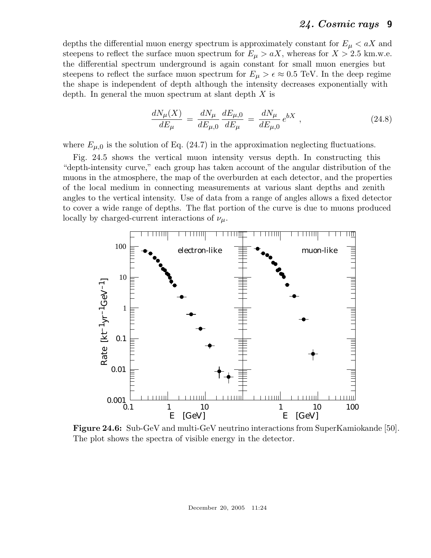depths the differential muon energy spectrum is approximately constant for  $E_{\mu} < aX$  and steepens to reflect the surface muon spectrum for  $E_{\mu} > aX$ , whereas for  $X > 2.5$  km.w.e. the differential spectrum underground is again constant for small muon energies but steepens to reflect the surface muon spectrum for  $E_{\mu} > \epsilon \approx 0.5$  TeV. In the deep regime the shape is independent of depth although the intensity decreases exponentially with depth. In general the muon spectrum at slant depth  $X$  is

$$
\frac{dN_{\mu}(X)}{dE_{\mu}} = \frac{dN_{\mu}}{dE_{\mu,0}} \frac{dE_{\mu,0}}{dE_{\mu}} = \frac{dN_{\mu}}{dE_{\mu,0}} e^{bX} , \qquad (24.8)
$$

where  $E_{\mu,0}$  is the solution of Eq. (24.7) in the approximation neglecting fluctuations.

Fig. 24.5 shows the vertical muon intensity versus depth. In constructing this "depth-intensity curve," each group has taken account of the angular distribution of the muons in the atmosphere, the map of the overburden at each detector, and the properties of the local medium in connecting measurements at various slant depths and zenith angles to the vertical intensity. Use of data from a range of angles allows a fixed detector to cover a wide range of depths. The flat portion of the curve is due to muons produced locally by charged-current interactions of  $\nu_{\mu}$ .



**Figure 24.6:** Sub-GeV and multi-GeV neutrino interactions from SuperKamiokande [50]. The plot shows the spectra of visible energy in the detector.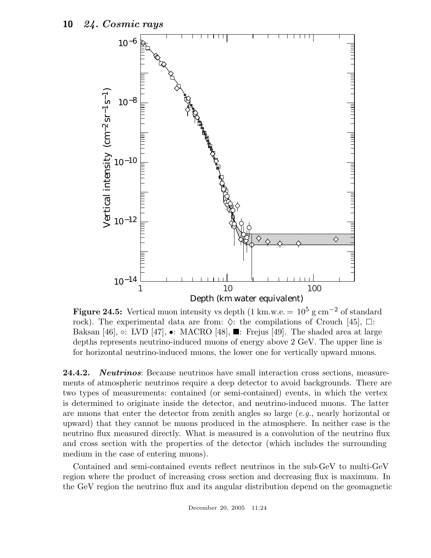

**Figure 24.5:** Vertical muon intensity vs depth  $(1 \text{ km.w.e.} = 10^5 \text{ g cm}^{-2} \text{ of standard})$ rock). The experimental data are from:  $\Diamond$ : the compilations of Crouch [45],  $\Box$ : Baksan [46],  $\circ$ : LVD [47], •: MACRO [48],  $\blacksquare$ : Frejus [49]. The shaded area at large depths represents neutrino-induced muons of energy above 2 GeV. The upper line is for horizontal neutrino-induced muons, the lower one for vertically upward muons.

**24.4.2.** *Neutrinos*: Because neutrinos have small interaction cross sections, measurements of atmospheric neutrinos require a deep detector to avoid backgrounds. There are two types of measurements: contained (or semi-contained) events, in which the vertex is determined to originate inside the detector, and neutrino-induced muons. The latter are muons that enter the detector from zenith angles so large (*e.g.*, nearly horizontal or upward) that they cannot be muons produced in the atmosphere. In neither case is the neutrino flux measured directly. What is measured is a convolution of the neutrino flux and cross section with the properties of the detector (which includes the surrounding medium in the case of entering muons).

Contained and semi-contained events reflect neutrinos in the sub-GeV to multi-GeV region where the product of increasing cross section and decreasing flux is maximum. In the GeV region the neutrino flux and its angular distribution depend on the geomagnetic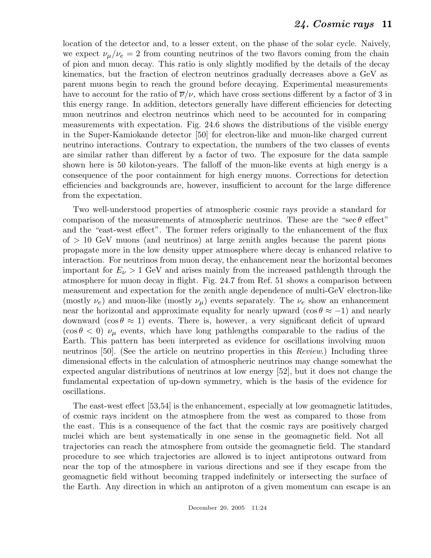location of the detector and, to a lesser extent, on the phase of the solar cycle. Naively, we expect  $\nu_{\mu}/\nu_{e} = 2$  from counting neutrinos of the two flavors coming from the chain of pion and muon decay. This ratio is only slightly modified by the details of the decay kinematics, but the fraction of electron neutrinos gradually decreases above a GeV as parent muons begin to reach the ground before decaying. Experimental measurements have to account for the ratio of  $\overline{\nu}/\nu$ , which have cross sections different by a factor of 3 in this energy range. In addition, detectors generally have different efficiencies for detecting muon neutrinos and electron neutrinos which need to be accounted for in comparing measurements with expectation. Fig. 24.6 shows the distributions of the visible energy in the Super-Kamiokande detector [50] for electron-like and muon-like charged current neutrino interactions. Contrary to expectation, the numbers of the two classes of events are similar rather than different by a factor of two. The exposure for the data sample shown here is 50 kiloton-years. The falloff of the muon-like events at high energy is a consequence of the poor containment for high energy muons. Corrections for detection efficiencies and backgrounds are, however, insufficient to account for the large difference from the expectation.

Two well-understood properties of atmospheric cosmic rays provide a standard for comparison of the measurements of atmospheric neutrinos. These are the "sec $\theta$  effect" and the "east-west effect". The former refers originally to the enhancement of the flux  $\sigma$  of  $> 10$  GeV muons (and neutrinos) at large zenith angles because the parent pions propagate more in the low density upper atmosphere where decay is enhanced relative to interaction. For neutrinos from muon decay, the enhancement near the horizontal becomes important for  $E_{\nu} > 1$  GeV and arises mainly from the increased pathlength through the atmosphere for muon decay in flight. Fig. 24.7 from Ref. 51 shows a comparison between measurement and expectation for the zenith angle dependence of multi-GeV electron-like (mostly  $\nu_e$ ) and muon-like (mostly  $\nu_\mu$ ) events separately. The  $\nu_e$  show an enhancement near the horizontal and approximate equality for nearly upward (cos  $\theta \approx -1$ ) and nearly downward (cos  $\theta \approx 1$ ) events. There is, however, a very significant deficit of upward  $(\cos \theta < 0)$   $\nu_{\mu}$  events, which have long pathlengths comparable to the radius of the Earth. This pattern has been interpreted as evidence for oscillations involving muon neutrinos [50]. (See the article on neutrino properties in this *Review*.) Including three dimensional effects in the calculation of atmospheric neutrinos may change somewhat the expected angular distributions of neutrinos at low energy [52], but it does not change the fundamental expectation of up-down symmetry, which is the basis of the evidence for oscillations.

The east-west effect [53,54] is the enhancement, especially at low geomagnetic latitudes, of cosmic rays incident on the atmosphere from the west as compared to those from the east. This is a consequence of the fact that the cosmic rays are positively charged nuclei which are bent systematically in one sense in the geomagnetic field. Not all trajectories can reach the atmosphere from outside the geomagnetic field. The standard procedure to see which trajectories are allowed is to inject antiprotons outward from near the top of the atmosphere in various directions and see if they escape from the geomagnetic field without becoming trapped indefinitely or intersecting the surface of the Earth. Any direction in which an antiproton of a given momentum can escape is an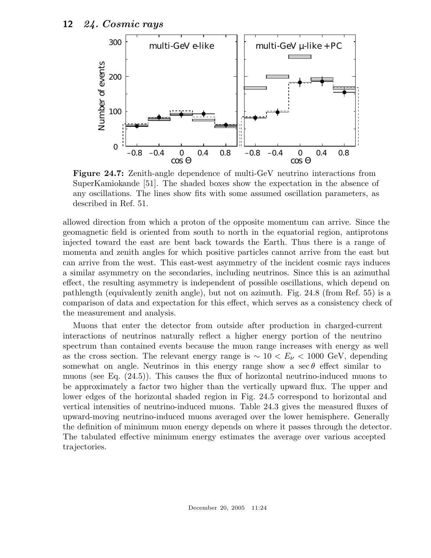

**Figure 24.7:** Zenith-angle dependence of multi-GeV neutrino interactions from SuperKamiokande [51]. The shaded boxes show the expectation in the absence of any oscillations. The lines show fits with some assumed oscillation parameters, as described in Ref. 51.

allowed direction from which a proton of the opposite momentum can arrive. Since the geomagnetic field is oriented from south to north in the equatorial region, antiprotons injected toward the east are bent back towards the Earth. Thus there is a range of momenta and zenith angles for which positive particles cannot arrive from the east but can arrive from the west. This east-west asymmetry of the incident cosmic rays induces a similar asymmetry on the secondaries, including neutrinos. Since this is an azimuthal effect, the resulting asymmetry is independent of possible oscillations, which depend on pathlength (equivalently zenith angle), but not on azimuth. Fig. 24.8 (from Ref. 55) is a comparison of data and expectation for this effect, which serves as a consistency check of the measurement and analysis.

Muons that enter the detector from outside after production in charged-current interactions of neutrinos naturally reflect a higher energy portion of the neutrino spectrum than contained events because the muon range increases with energy as well as the cross section. The relevant energy range is  $\sim 10 < E_{\nu} < 1000$  GeV, depending somewhat on angle. Neutrinos in this energy range show a sec  $\theta$  effect similar to muons (see Eq. (24.5)). This causes the flux of horizontal neutrino-induced muons to be approximately a factor two higher than the vertically upward flux. The upper and lower edges of the horizontal shaded region in Fig. 24.5 correspond to horizontal and vertical intensities of neutrino-induced muons. Table 24.3 gives the measured fluxes of upward-moving neutrino-induced muons averaged over the lower hemisphere. Generally the definition of minimum muon energy depends on where it passes through the detector. The tabulated effective minimum energy estimates the average over various accepted trajectories.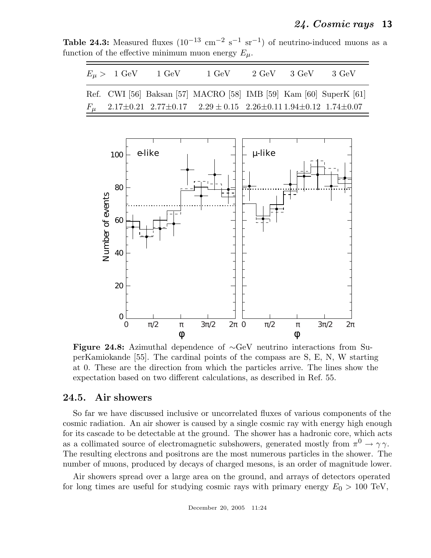**Table 24.3:** Measured fluxes  $(10^{-13} \text{ cm}^{-2} \text{ s}^{-1} \text{ sr}^{-1})$  of neutrino-induced muons as a function of the effective minimum muon energy  $E_{\mu}$ .

|  | $E_{\mu}$ > 1 GeV 1 GeV | 1 GeV                                                                   | $2 \text{ GeV}$ $3 \text{ GeV}$ | -3 GeV |
|--|-------------------------|-------------------------------------------------------------------------|---------------------------------|--------|
|  |                         | Ref. CWI [56] Baksan [57] MACRO [58] IMB [59] Kam [60] SuperK [61]      |                                 |        |
|  |                         | $F_{\mu}$ 2.17±0.21 2.77±0.17 2.29 ± 0.15 2.26±0.11 1.94±0.12 1.74±0.07 |                                 |        |



**Figure 24.8:** Azimuthal dependence of <sup>∼</sup>GeV neutrino interactions from SuperKamiokande [55]. The cardinal points of the compass are S, E, N, W starting at 0. These are the direction from which the particles arrive. The lines show the expectation based on two different calculations, as described in Ref. 55.

#### **24.5. Air showers**

So far we have discussed inclusive or uncorrelated fluxes of various components of the cosmic radiation. An air shower is caused by a single cosmic ray with energy high enough for its cascade to be detectable at the ground. The shower has a hadronic core, which acts as a collimated source of electromagnetic subshowers, generated mostly from  $\pi^0 \to \gamma \gamma$ . The resulting electrons and positrons are the most numerous particles in the shower. The number of muons, produced by decays of charged mesons, is an order of magnitude lower.

Air showers spread over a large area on the ground, and arrays of detectors operated for long times are useful for studying cosmic rays with primary energy  $E_0 > 100 \text{ TeV}$ ,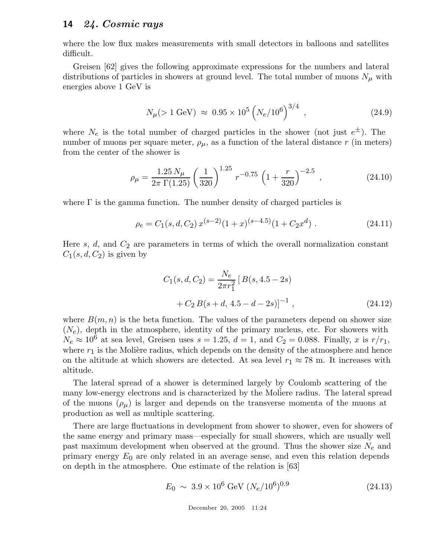where the low flux makes measurements with small detectors in balloons and satellites difficult.

Greisen [62] gives the following approximate expressions for the numbers and lateral distributions of particles in showers at ground level. The total number of muons  $N_{\mu}$  with energies above 1 GeV is

$$
N_{\mu}(>1 \text{ GeV}) \approx 0.95 \times 10^5 \left(N_e/10^6\right)^{3/4}, \qquad (24.9)
$$

where  $N_e$  is the total number of charged particles in the shower (not just  $e^{\pm}$ ). The number of muons per square meter,  $\rho_{\mu}$ , as a function of the lateral distance r (in meters) from the center of the shower is

$$
\rho_{\mu} = \frac{1.25 N_{\mu}}{2\pi \Gamma(1.25)} \left(\frac{1}{320}\right)^{1.25} r^{-0.75} \left(1 + \frac{r}{320}\right)^{-2.5}, \qquad (24.10)
$$

where  $\Gamma$  is the gamma function. The number density of charged particles is

$$
\rho_e = C_1(s, d, C_2) x^{(s-2)} (1+x)^{(s-4.5)} (1+C_2 x^d) \ . \tag{24.11}
$$

Here  $s, d$ , and  $C_2$  are parameters in terms of which the overall normalization constant  $C_1(s, d, C_2)$  is given by

$$
C_1(s, d, C_2) = \frac{N_e}{2\pi r_1^2} [B(s, 4.5 - 2s)
$$
  
+  $C_2 B(s + d, 4.5 - d - 2s)]^{-1}$ , (24.12)

where  $B(m, n)$  is the beta function. The values of the parameters depend on shower size  $(N_e)$ , depth in the atmosphere, identity of the primary nucleus, etc. For showers with  $N_e \approx 10^6$  at sea level, Greisen uses  $s = 1.25$ ,  $d = 1$ , and  $C_2 = 0.088$ . Finally, x is  $r/r_1$ , where  $r_1$  is the Molière radius, which depends on the density of the atmosphere and hence on the altitude at which showers are detected. At sea level  $r_1 \approx 78$  m. It increases with altitude.

The lateral spread of a shower is determined largely by Coulomb scattering of the many low-energy electrons and is characterized by the Moliere radius. The lateral spread of the muons  $(\rho_{\mu})$  is larger and depends on the transverse momenta of the muons at production as well as multiple scattering.

There are large fluctuations in development from shower to shower, even for showers of the same energy and primary mass—especially for small showers, which are usually well past maximum development when observed at the ground. Thus the shower size  $N_e$  and primary energy  $E_0$  are only related in an average sense, and even this relation depends on depth in the atmosphere. One estimate of the relation is [63]

$$
E_0 \sim 3.9 \times 10^6 \text{ GeV } (N_e/10^6)^{0.9} \tag{24.13}
$$

December 20, 2005 11:24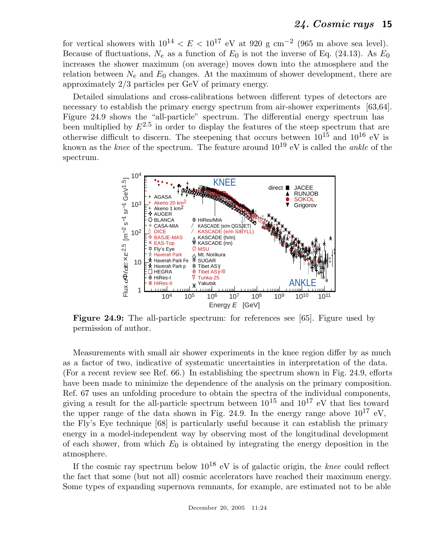for vertical showers with  $10^{14} < E < 10^{17}$  eV at 920 g cm<sup>-2</sup> (965 m above sea level). Because of fluctuations,  $N_e$  as a function of  $E_0$  is not the inverse of Eq. (24.13). As  $E_0$ increases the shower maximum (on average) moves down into the atmosphere and the relation between  $N_e$  and  $E_0$  changes. At the maximum of shower development, there are approximately 2/3 particles per GeV of primary energy.

Detailed simulations and cross-calibrations between different types of detectors are necessary to establish the primary energy spectrum from air-shower experiments [63,64]. Figure 24.9 shows the "all-particle" spectrum. The differential energy spectrum has been multiplied by  $E^{2.5}$  in order to display the features of the steep spectrum that are otherwise difficult to discern. The steepening that occurs between  $10^{15}$  and  $10^{16}$  eV is known as the *knee* of the spectrum. The feature around  $10^{19}$  eV is called the *ankle* of the spectrum.



**Figure 24.9:** The all-particle spectrum: for references see [65]. Figure used by permission of author.

Measurements with small air shower experiments in the knee region differ by as much as a factor of two, indicative of systematic uncertainties in interpretation of the data. (For a recent review see Ref. 66.) In establishing the spectrum shown in Fig. 24.9, efforts have been made to minimize the dependence of the analysis on the primary composition. Ref. 67 uses an unfolding procedure to obtain the spectra of the individual components, giving a result for the all-particle spectrum between  $10^{15}$  and  $10^{17}$  eV that lies toward the upper range of the data shown in Fig. 24.9. In the energy range above  $10^{17}$  eV, the Fly's Eye technique [68] is particularly useful because it can establish the primary energy in a model-independent way by observing most of the longitudinal development of each shower, from which  $E_0$  is obtained by integrating the energy deposition in the atmosphere.

If the cosmic ray spectrum below  $10^{18}$  eV is of galactic origin, the *knee* could reflect the fact that some (but not all) cosmic accelerators have reached their maximum energy. Some types of expanding supernova remnants, for example, are estimated not to be able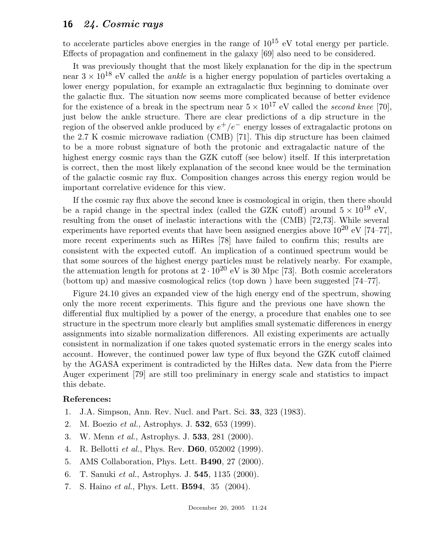to accelerate particles above energies in the range of  $10^{15}$  eV total energy per particle. Effects of propagation and confinement in the galaxy [69] also need to be considered.

It was previously thought that the most likely explanation for the dip in the spectrum near  $3 \times 10^{18}$  eV called the *ankle* is a higher energy population of particles overtaking a lower energy population, for example an extragalactic flux beginning to dominate over the galactic flux. The situation now seems more complicated because of better evidence for the existence of a break in the spectrum near  $5 \times 10^{17}$  eV called the *second knee* [70], just below the ankle structure. There are clear predictions of a dip structure in the region of the observed ankle produced by  $e^+/e^-$  energy losses of extragalactic protons on the 2.7 K cosmic microwave radiation (CMB) [71]. This dip structure has been claimed to be a more robust signature of both the protonic and extragalactic nature of the highest energy cosmic rays than the GZK cutoff (see below) itself. If this interpretation is correct, then the most likely explanation of the second knee would be the termination of the galactic cosmic ray flux. Composition changes across this energy region would be important correlative evidence for this view.

If the cosmic ray flux above the second knee is cosmological in origin, then there should be a rapid change in the spectral index (called the GZK cutoff) around  $5 \times 10^{19}$  eV, resulting from the onset of inelastic interactions with the (CMB) [72,73]. While several experiments have reported events that have been assigned energies above  $10^{20}$  eV [74–77]. more recent experiments such as HiRes [78] have failed to confirm this; results are consistent with the expected cutoff. An implication of a continued spectrum would be that some sources of the highest energy particles must be relatively nearby. For example, the attenuation length for protons at  $2 \cdot 10^{20}$  eV is 30 Mpc [73]. Both cosmic accelerators (bottom up) and massive cosmological relics (top down ) have been suggested [74–77].

Figure 24.10 gives an expanded view of the high energy end of the spectrum, showing only the more recent experiments. This figure and the previous one have shown the differential flux multiplied by a power of the energy, a procedure that enables one to see structure in the spectrum more clearly but amplifies small systematic differences in energy assignments into sizable normalization differences. All existing experiments are actually consistent in normalization if one takes quoted systematic errors in the energy scales into account. However, the continued power law type of flux beyond the GZK cutoff claimed by the AGASA experiment is contradicted by the HiRes data. New data from the Pierre Auger experiment [79] are still too preliminary in energy scale and statistics to impact this debate.

# **Reference**<br>**Reference**

- 1. J.A. Simpson, Ann. Rev. Nucl. and Part. Sci. **33**, 323 (1983).
- 2. M. Boezio *et al.*, Astrophys. J. **532**, 653 (1999).
- 3. W. Menn *et al.*, Astrophys. J. **533**, 281 (2000).
- 4. R. Bellotti *et al.*, Phys. Rev. **D60**, 052002 (1999).
- 5. AMS Collaboration, Phys. Lett. **B490**, 27 (2000).<br>6. T. Sanuki *et al.*, Astrophys. J. **545**, 1135 (2000).
- 6. T. Sanuki *et al.*, Astrophys. J. **545**, 1135 (2000).
- 7. S. Haino *et al.*, Phys. Lett. **B594**, 35 (2004).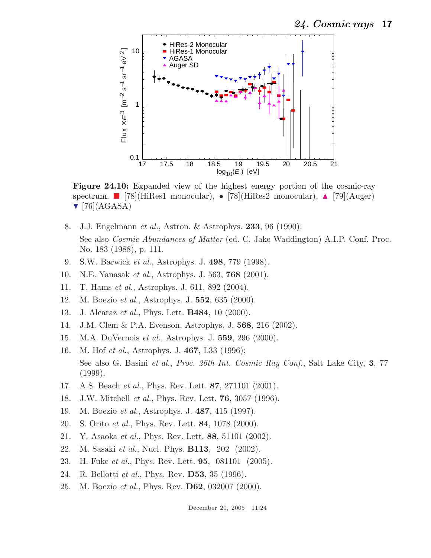

**Figure 24.10:** Expanded view of the highest energy portion of the cosmic-ray spectrum.  $[78]$ (HiRes1 monocular), • [78](HiRes2 monocular),  $\triangle$  [79](Auger)  $\nabla$  [76](AGASA)

- 8. J.J. Engelmann *et al.*, Astron. & Astrophys. **233**, 96 (1990); See also *Cosmic Abundances of Matter* (ed. C. Jake Waddington) A.I.P. Conf. Proc. No. 183 (1988), p. 111.
- 9. S.W. Barwick *et al.*, Astrophys. J. **498**, 779 (1998).
- 10. N.E. Yanasak *et al.*, Astrophys. J. 563, **768** (2001).
- 11. T. Hams *et al.*, Astrophys. J. 611, 892 (2004).
- 12. M. Boezio *et al.*, Astrophys. J. **552**, 635 (2000).
- 13. J. Alcaraz *et al.*, Phys. Lett. **B484**, 10 (2000).
- 14. J.M. Clem & P.A. Evenson, Astrophys. J. **568**, 216 (2002).<br>15. M.A. DuVernois *et al.*, Astrophys. J. **559**, 296 (2000).
- 15. M.A. DuVernois *et al.*, Astrophys. J. **559**, 296 (2000).
- 16. M. Hof *et al.*, Astrophys. J. **467**, L33 (1996); See also G. Basini *et al.*, *Proc. 26th Int. Cosmic Ray Conf.*, Salt Lake City, **3**, 77 (1999).
- 17. A.S. Beach *et al.*, Phys. Rev. Lett. **87**, 271101 (2001).
- 18. J.W. Mitchell *et al.*, Phys. Rev. Lett. **76**, 3057 (1996).<br>19. M. Boezio *et al.*, Astrophys. J. **487**, 415 (1997).
- 19. M. Boezio *et al.*, Astrophys. J. **487**, 415 (1997).
- 20. S. Orito *et al.*, Phys. Rev. Lett. **84**, 1078 (2000).
- 21. Y. Asaoka *et al.*, Phys. Rev. Lett. **88**, 51101 (2002).
- 22. M. Sasaki *et al.*, Nucl. Phys. **B113**, 202 (2002).
- 23. H. Fuke *et al.*, Phys. Rev. Lett. **95**, 081101 (2005).
- 24. R. Bellotti *et al.*, Phys. Rev. **D53**, 35 (1996).
- 25. M. Boezio *et al.*, Phys. Rev. **D62**, 032007 (2000).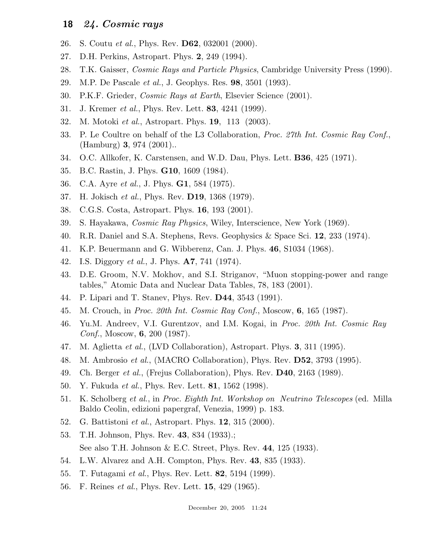- 26. S. Coutu *et al.*, Phys. Rev. **D62**, 032001 (2000).
- 27. D.H. Perkins, Astropart. Phys. 2, 249 (1994).<br>28. T.K. Gaisser, *Cosmic Rays and Particle Phys*
- 28. T.K. Gaisser, *Cosmic Rays and Particle Physics*, Cambridge University Press (1990).
- 29. M.P. De Pascale *et al.*, J. Geophys. Res. **98**, 3501 (1993).
- 30. P.K.F. Grieder, *Cosmic Rays at Earth*, Elsevier Science (2001).
- 31. J. Kremer *et al.*, Phys. Rev. Lett. **83**, 4241 (1999).
- 32. M. Motoki *et al.*, Astropart. Phys. **19**, 113 (2003).
- 33. P. Le Coultre on behalf of the L3 Collaboration, *Proc. 27th Int. Cosmic Ray Conf.*, (Hamburg) **3**, 974 (2001)..
- 34. O.C. Allkofer, K. Carstensen, and W.D. Dau, Phys. Lett. **B36**, 425 (1971).
- 35. B.C. Rastin, J. Phys. **G10**, 1609 (1984).
- 36. C.A. Ayre *et al.*, J. Phys. **G1**, 584 (1975).
- 37. H. Jokisch *et al.*, Phys. Rev. **D19**, 1368 (1979).
- 38. C.G.S. Costa, Astropart. Phys. **16**, 193 (2001).
- 39. S. Hayakawa, *Cosmic Ray Physics*, Wiley, Interscience, New York (1969).
- 40. R.R. Daniel and S.A. Stephens, Revs. Geophysics & Space Sci. **12**, 233 (1974).
- 41. K.P. Beuermann and G. Wibberenz, Can. J. Phys. **46**, S1034 (1968).
- 42. I.S. Diggory *et al.*, J. Phys. **A7**, 741 (1974).
- D.E. Groom, N.V. Mokhov, and S.I. Striganov, "Muon stopping-power and range tables," Atomic Data and Nuclear Data Tables, 78, 183 (2001).
- 44. P. Lipari and T. Stanev, Phys. Rev. **D44**, 3543 (1991).
- 45. M. Crouch, in *Proc. 20th Int. Cosmic Ray Conf.*, Moscow, **6**, 165 (1987).
- 46. Yu.M. Andreev, V.I. Gurentzov, and I.M. Kogai, in *Proc. 20th Int. Cosmic Ray Conf.*, Moscow, **6**, 200 (1987).
- 47. M. Aglietta *et al.*, (LVD Collaboration), Astropart. Phys. **3**, 311 (1995).
- 48. M. Ambrosio *et al.*, (MACRO Collaboration), Phys. Rev. **D52**, 3793 (1995).
- 49. Ch. Berger *et al.*, (Frejus Collaboration), Phys. Rev. **D40**, 2163 (1989).
- 50. Y. Fukuda *et al.*, Phys. Rev. Lett. **81**, 1562 (1998).
- 51. K. Scholberg *et al.*, in *Proc. Eighth Int. Workshop on Neutrino Telescopes* (ed. Milla Baldo Ceolin, edizioni papergraf, Venezia, 1999) p. 183.
- 52. G. Battistoni *et al.*, Astropart. Phys. **12**, 315 (2000).<br>53. T.H. Johnson. Phys. Rev. **43**, 834 (1933).:
- 53. T.H. Johnson, Phys. Rev. **43**, 834 (1933).; See also T.H. Johnson & E.C. Street, Phys. Rev. **44**, 125 (1933).
- 54. L.W. Alvarez and A.H. Compton, Phys. Rev. **43**, 835 (1933).
- 55. T. Futagami *et al.*, Phys. Rev. Lett. **82**, 5194 (1999).
- 56. F. Reines *et al.*, Phys. Rev. Lett. **15**, 429 (1965).